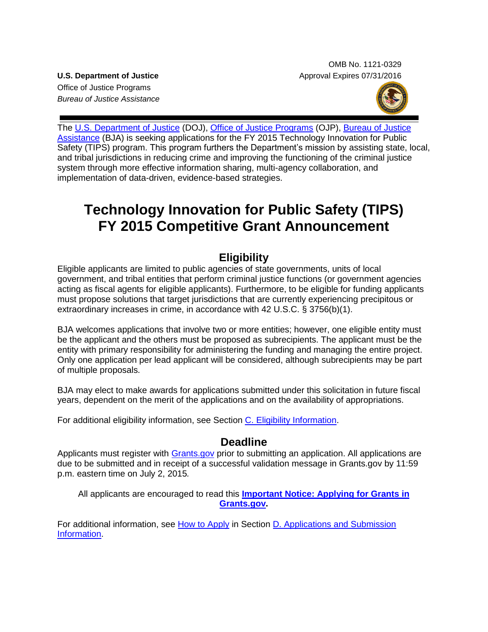OMB No. 1121-0329 **U.S. Department of Justice** Approval Expires 07/31/2016

Office of Justice Programs *Bureau of Justice Assistance*



The U.S. [Department of Justice](http://www.justice.gov/) (DOJ), [Office of Justice Programs](http://www.ojp.gov/) (OJP), Bureau of Justice [Assistance](https://www.bja.gov/) (BJA) is seeking applications for the FY 2015 Technology Innovation for Public Safety (TIPS) program. This program furthers the Department's mission by assisting state, local, and tribal jurisdictions in reducing crime and improving the functioning of the criminal justice system through more effective information sharing, multi-agency collaboration, and implementation of data-driven, evidence-based strategies.

# **Technology Innovation for Public Safety (TIPS) FY 2015 Competitive Grant Announcement**

# **Eligibility**

Eligible applicants are limited to public agencies of state governments, units of local government, and tribal entities that perform criminal justice functions (or government agencies acting as fiscal agents for eligible applicants). Furthermore, to be eligible for funding applicants must propose solutions that target jurisdictions that are currently experiencing precipitous or extraordinary increases in crime, in accordance with 42 U.S.C. § 3756(b)(1).

BJA welcomes applications that involve two or more entities; however, one eligible entity must be the applicant and the others must be proposed as subrecipients. The applicant must be the entity with primary responsibility for administering the funding and managing the entire project. Only one application per lead applicant will be considered, although subrecipients may be part of multiple proposals.

BJA may elect to make awards for applications submitted under this solicitation in future fiscal years, dependent on the merit of the applications and on the availability of appropriations.

For additional eligibility information, see Section [C. Eligibility Information.](#page-11-0)

## **Deadline**

Applicants must register with [Grants.gov](http://www.grants.gov/applicants/apply_for_grants.jsp) prior to submitting an application. All applications are due to be submitted and in receipt of a successful validation message in Grants.gov by 11:59 p.m. eastern time on July 2, 2015*.*

All applicants are encouraged to read this **[Important Notice: Applying for Grants in](http://ojp.gov/funding/Apply/Grants-govInfo.htm)  [Grants.gov.](http://ojp.gov/funding/Apply/Grants-govInfo.htm)**

For additional information, see [How to Apply](#page-20-0) in Section [D. Applications and Submission](#page-11-1)  [Information.](#page-11-1)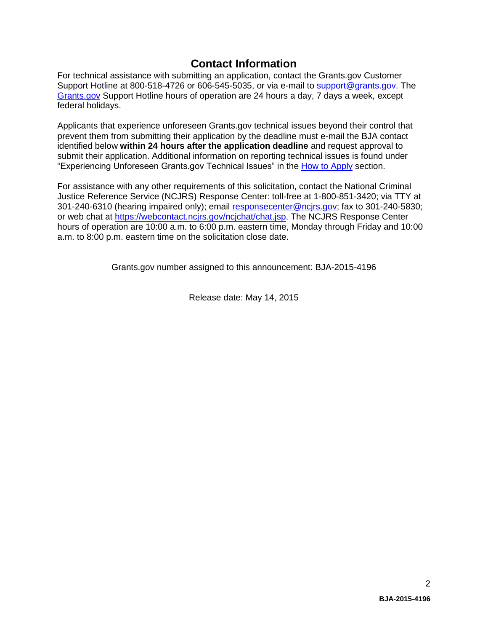## **Contact Information**

For technical assistance with submitting an application, contact the Grants.gov Customer Support Hotline at 800-518-4726 or 606-545-5035, or via e-mail to [support@grants.gov.](mailto:support@grants.gov) The [Grants.gov](http://www.grants.gov/applicants/apply_for_grants.jsp) Support Hotline hours of operation are 24 hours a day, 7 days a week, except federal holidays.

Applicants that experience unforeseen Grants.gov technical issues beyond their control that prevent them from submitting their application by the deadline must e-mail the BJA contact identified below **within 24 hours after the application deadline** and request approval to submit their application. Additional information on reporting technical issues is found under "Experiencing Unforeseen Grants.gov Technical Issues" in the [How to Apply](#page-20-0) section.

For assistance with any other requirements of this solicitation, contact the National Criminal Justice Reference Service (NCJRS) Response Center: toll-free at 1-800-851-3420; via TTY at 301-240-6310 (hearing impaired only); email responsecenter@ncirs.gov; fax to 301-240-5830: or web chat at [https://webcontact.ncjrs.gov/ncjchat/chat.jsp.](https://webcontact.ncjrs.gov/ncjchat/chat.jsp) The NCJRS Response Center hours of operation are 10:00 a.m. to 6:00 p.m. eastern time, Monday through Friday and 10:00 a.m. to 8:00 p.m. eastern time on the solicitation close date.

Grants.gov number assigned to this announcement: BJA-2015*-*4196

Release date: May 14, 2015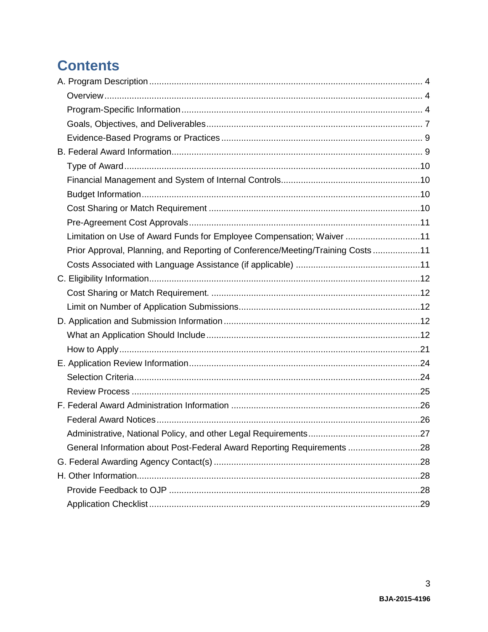# **Contents**

| Limitation on Use of Award Funds for Employee Compensation; Waiver 11          |  |
|--------------------------------------------------------------------------------|--|
| Prior Approval, Planning, and Reporting of Conference/Meeting/Training Costs11 |  |
|                                                                                |  |
|                                                                                |  |
|                                                                                |  |
|                                                                                |  |
|                                                                                |  |
|                                                                                |  |
|                                                                                |  |
|                                                                                |  |
|                                                                                |  |
|                                                                                |  |
|                                                                                |  |
|                                                                                |  |
|                                                                                |  |
| General Information about Post-Federal Award Reporting Requirements 28         |  |
|                                                                                |  |
|                                                                                |  |
|                                                                                |  |
|                                                                                |  |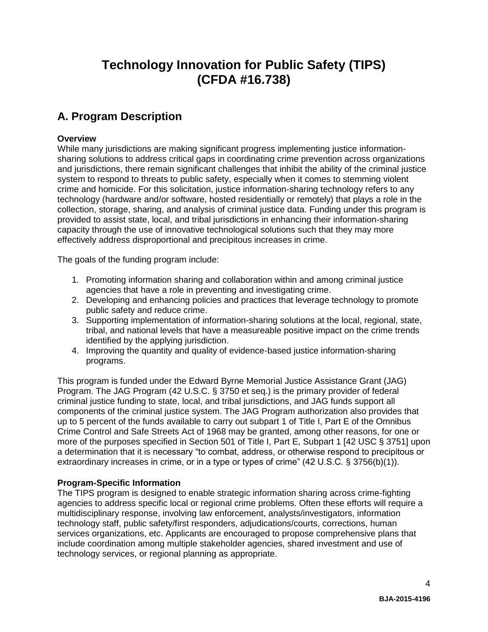# **Technology Innovation for Public Safety (TIPS) (CFDA #16.738)**

# <span id="page-3-0"></span>**A. Program Description**

## <span id="page-3-1"></span>**Overview**

While many jurisdictions are making significant progress implementing justice informationsharing solutions to address critical gaps in coordinating crime prevention across organizations and jurisdictions, there remain significant challenges that inhibit the ability of the criminal justice system to respond to threats to public safety, especially when it comes to stemming violent crime and homicide. For this solicitation, justice information-sharing technology refers to any technology (hardware and/or software, hosted residentially or remotely) that plays a role in the collection, storage, sharing, and analysis of criminal justice data. Funding under this program is provided to assist state, local, and tribal jurisdictions in enhancing their information-sharing capacity through the use of innovative technological solutions such that they may more effectively address disproportional and precipitous increases in crime.

The goals of the funding program include:

- 1. Promoting information sharing and collaboration within and among criminal justice agencies that have a role in preventing and investigating crime.
- 2. Developing and enhancing policies and practices that leverage technology to promote public safety and reduce crime.
- 3. Supporting implementation of information-sharing solutions at the local, regional, state, tribal, and national levels that have a measureable positive impact on the crime trends identified by the applying jurisdiction.
- 4. Improving the quantity and quality of evidence-based justice information-sharing programs.

This program is funded under the Edward Byrne Memorial Justice Assistance Grant (JAG) Program. The JAG Program (42 U.S.C. § 3750 et seq.) is the primary provider of federal criminal justice funding to state, local, and tribal jurisdictions, and JAG funds support all components of the criminal justice system. The JAG Program authorization also provides that up to 5 percent of the funds available to carry out subpart 1 of Title I, Part E of the Omnibus Crime Control and Safe Streets Act of 1968 may be granted, among other reasons, for one or more of the purposes specified in Section 501 of Title I, Part E, Subpart 1 [42 USC § 3751] upon a determination that it is necessary "to combat, address, or otherwise respond to precipitous or extraordinary increases in crime, or in a type or types of crime" (42 U.S.C. § 3756(b)(1)).

## <span id="page-3-2"></span>**Program-Specific Information**

The TIPS program is designed to enable strategic information sharing across crime-fighting agencies to address specific local or regional crime problems. Often these efforts will require a multidisciplinary response, involving law enforcement, analysts/investigators, information technology staff, public safety/first responders, adjudications/courts, corrections, human services organizations, etc. Applicants are encouraged to propose comprehensive plans that include coordination among multiple stakeholder agencies, shared investment and use of technology services, or regional planning as appropriate.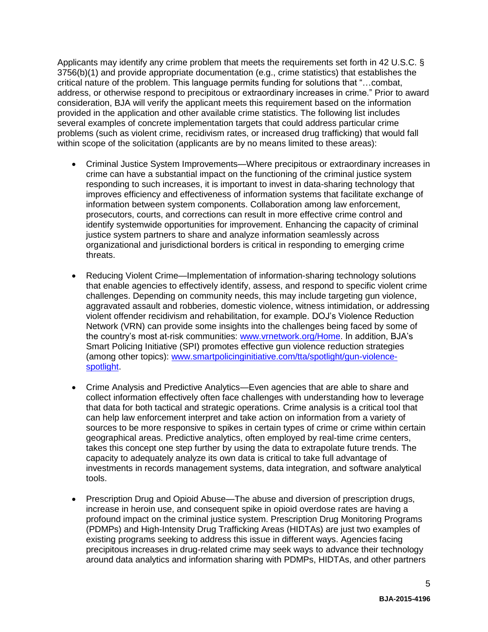Applicants may identify any crime problem that meets the requirements set forth in 42 U.S.C. § 3756(b)(1) and provide appropriate documentation (e.g., crime statistics) that establishes the critical nature of the problem. This language permits funding for solutions that "…combat, address, or otherwise respond to precipitous or extraordinary increases in crime." Prior to award consideration, BJA will verify the applicant meets this requirement based on the information provided in the application and other available crime statistics. The following list includes several examples of concrete implementation targets that could address particular crime problems (such as violent crime, recidivism rates, or increased drug trafficking) that would fall within scope of the solicitation (applicants are by no means limited to these areas):

- Criminal Justice System Improvements—Where precipitous or extraordinary increases in crime can have a substantial impact on the functioning of the criminal justice system responding to such increases, it is important to invest in data-sharing technology that improves efficiency and effectiveness of information systems that facilitate exchange of information between system components. Collaboration among law enforcement, prosecutors, courts, and corrections can result in more effective crime control and identify systemwide opportunities for improvement. Enhancing the capacity of criminal justice system partners to share and analyze information seamlessly across organizational and jurisdictional borders is critical in responding to emerging crime threats.
- Reducing Violent Crime—Implementation of information-sharing technology solutions that enable agencies to effectively identify, assess, and respond to specific violent crime challenges. Depending on community needs, this may include targeting gun violence, aggravated assault and robberies, domestic violence, witness intimidation, or addressing violent offender recidivism and rehabilitation, for example. DOJ's Violence Reduction Network (VRN) can provide some insights into the challenges being faced by some of the country's most at-risk communities: [www.vrnetwork.org/Home.](https://www.vrnetwork.org/Home) In addition, BJA's Smart Policing Initiative (SPI) promotes effective gun violence reduction strategies (among other topics): [www.smartpolicinginitiative.com/tta/spotlight/gun-violence](http://www.smartpolicinginitiative.com/tta/spotlight/gun-violence-spotlight)[spotlight.](http://www.smartpolicinginitiative.com/tta/spotlight/gun-violence-spotlight)
- Crime Analysis and Predictive Analytics—Even agencies that are able to share and collect information effectively often face challenges with understanding how to leverage that data for both tactical and strategic operations. Crime analysis is a critical tool that can help law enforcement interpret and take action on information from a variety of sources to be more responsive to spikes in certain types of crime or crime within certain geographical areas. Predictive analytics, often employed by real-time crime centers, takes this concept one step further by using the data to extrapolate future trends. The capacity to adequately analyze its own data is critical to take full advantage of investments in records management systems, data integration, and software analytical tools.
- Prescription Drug and Opioid Abuse—The abuse and diversion of prescription drugs, increase in heroin use, and consequent spike in opioid overdose rates are having a profound impact on the criminal justice system. Prescription Drug Monitoring Programs (PDMPs) and High-Intensity Drug Trafficking Areas (HIDTAs) are just two examples of existing programs seeking to address this issue in different ways. Agencies facing precipitous increases in drug-related crime may seek ways to advance their technology around data analytics and information sharing with PDMPs, HIDTAs, and other partners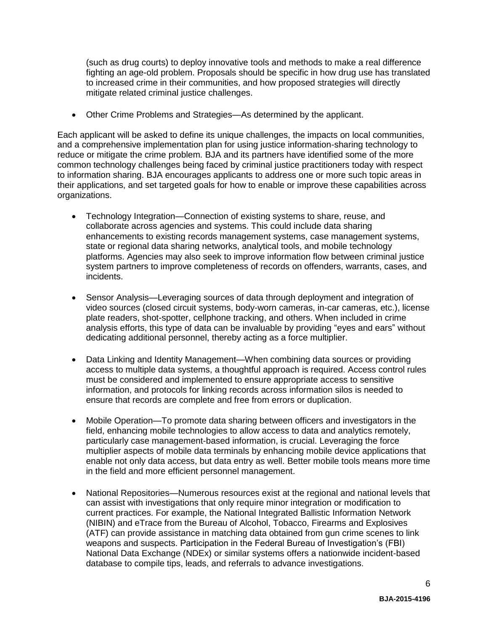(such as drug courts) to deploy innovative tools and methods to make a real difference fighting an age-old problem. Proposals should be specific in how drug use has translated to increased crime in their communities, and how proposed strategies will directly mitigate related criminal justice challenges.

Other Crime Problems and Strategies—As determined by the applicant.

Each applicant will be asked to define its unique challenges, the impacts on local communities, and a comprehensive implementation plan for using justice information-sharing technology to reduce or mitigate the crime problem. BJA and its partners have identified some of the more common technology challenges being faced by criminal justice practitioners today with respect to information sharing. BJA encourages applicants to address one or more such topic areas in their applications, and set targeted goals for how to enable or improve these capabilities across organizations.

- Technology Integration—Connection of existing systems to share, reuse, and collaborate across agencies and systems. This could include data sharing enhancements to existing records management systems, case management systems, state or regional data sharing networks, analytical tools, and mobile technology platforms. Agencies may also seek to improve information flow between criminal justice system partners to improve completeness of records on offenders, warrants, cases, and incidents.
- Sensor Analysis—Leveraging sources of data through deployment and integration of video sources (closed circuit systems, body-worn cameras, in-car cameras, etc.), license plate readers, shot-spotter, cellphone tracking, and others. When included in crime analysis efforts, this type of data can be invaluable by providing "eyes and ears" without dedicating additional personnel, thereby acting as a force multiplier.
- Data Linking and Identity Management—When combining data sources or providing access to multiple data systems, a thoughtful approach is required. Access control rules must be considered and implemented to ensure appropriate access to sensitive information, and protocols for linking records across information silos is needed to ensure that records are complete and free from errors or duplication.
- Mobile Operation—To promote data sharing between officers and investigators in the field, enhancing mobile technologies to allow access to data and analytics remotely, particularly case management-based information, is crucial. Leveraging the force multiplier aspects of mobile data terminals by enhancing mobile device applications that enable not only data access, but data entry as well. Better mobile tools means more time in the field and more efficient personnel management.
- National Repositories—Numerous resources exist at the regional and national levels that can assist with investigations that only require minor integration or modification to current practices. For example, the National Integrated Ballistic Information Network (NIBIN) and eTrace from the Bureau of Alcohol, Tobacco, Firearms and Explosives (ATF) can provide assistance in matching data obtained from gun crime scenes to link weapons and suspects. Participation in the Federal Bureau of Investigation's (FBI) National Data Exchange (NDEx) or similar systems offers a nationwide incident-based database to compile tips, leads, and referrals to advance investigations.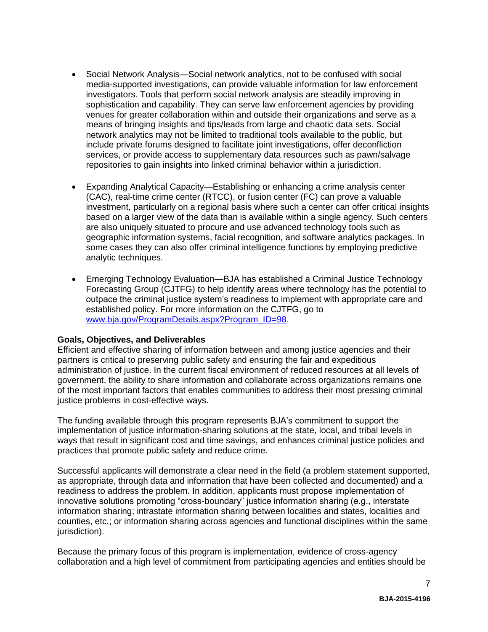- Social Network Analysis—Social network analytics, not to be confused with social media-supported investigations, can provide valuable information for law enforcement investigators. Tools that perform social network analysis are steadily improving in sophistication and capability. They can serve law enforcement agencies by providing venues for greater collaboration within and outside their organizations and serve as a means of bringing insights and tips/leads from large and chaotic data sets. Social network analytics may not be limited to traditional tools available to the public, but include private forums designed to facilitate joint investigations, offer deconfliction services, or provide access to supplementary data resources such as pawn/salvage repositories to gain insights into linked criminal behavior within a jurisdiction.
- Expanding Analytical Capacity—Establishing or enhancing a crime analysis center (CAC), real-time crime center (RTCC), or fusion center (FC) can prove a valuable investment, particularly on a regional basis where such a center can offer critical insights based on a larger view of the data than is available within a single agency. Such centers are also uniquely situated to procure and use advanced technology tools such as geographic information systems, facial recognition, and software analytics packages. In some cases they can also offer criminal intelligence functions by employing predictive analytic techniques.
- Emerging Technology Evaluation—BJA has established a Criminal Justice Technology Forecasting Group (CJTFG) to help identify areas where technology has the potential to outpace the criminal justice system's readiness to implement with appropriate care and established policy. For more information on the CJTFG, go to [www.bja.gov/ProgramDetails.aspx?Program\\_ID=98.](https://www.bja.gov/ProgramDetails.aspx?Program_ID=98)

## <span id="page-6-0"></span>**Goals, Objectives, and Deliverables**

Efficient and effective sharing of information between and among justice agencies and their partners is critical to preserving public safety and ensuring the fair and expeditious administration of justice. In the current fiscal environment of reduced resources at all levels of government, the ability to share information and collaborate across organizations remains one of the most important factors that enables communities to address their most pressing criminal justice problems in cost-effective ways.

The funding available through this program represents BJA's commitment to support the implementation of justice information-sharing solutions at the state, local, and tribal levels in ways that result in significant cost and time savings, and enhances criminal justice policies and practices that promote public safety and reduce crime.

Successful applicants will demonstrate a clear need in the field (a problem statement supported, as appropriate, through data and information that have been collected and documented) and a readiness to address the problem. In addition, applicants must propose implementation of innovative solutions promoting "cross-boundary" justice information sharing (e.g., interstate information sharing; intrastate information sharing between localities and states, localities and counties, etc.; or information sharing across agencies and functional disciplines within the same jurisdiction).

Because the primary focus of this program is implementation, evidence of cross-agency collaboration and a high level of commitment from participating agencies and entities should be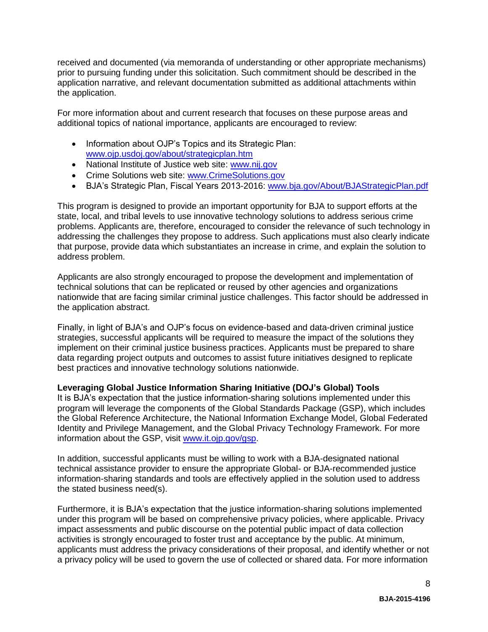received and documented (via memoranda of understanding or other appropriate mechanisms) prior to pursuing funding under this solicitation. Such commitment should be described in the application narrative, and relevant documentation submitted as additional attachments within the application.

For more information about and current research that focuses on these purpose areas and additional topics of national importance, applicants are encouraged to review:

- Information about OJP's Topics and its Strategic Plan: [www.ojp.usdoj.gov/about/strategicplan.htm](http://www.ojp.usdoj.gov/about/strategicplan.htm)
- National Institute of Justice web site: [www.nij.gov](http://www.nij.gov/)
- Crime Solutions web site: [www.CrimeSolutions.gov](http://www.crimesolutions.gov/)
- BJA's Strategic Plan, Fiscal Years 2013-2016: [www.bja.gov/About/BJAStrategicPlan.pdf](http://www.bja.gov/About/BJAStrategicPlan.pdf)

This program is designed to provide an important opportunity for BJA to support efforts at the state, local, and tribal levels to use innovative technology solutions to address serious crime problems. Applicants are, therefore, encouraged to consider the relevance of such technology in addressing the challenges they propose to address. Such applications must also clearly indicate that purpose, provide data which substantiates an increase in crime, and explain the solution to address problem.

Applicants are also strongly encouraged to propose the development and implementation of technical solutions that can be replicated or reused by other agencies and organizations nationwide that are facing similar criminal justice challenges. This factor should be addressed in the application abstract.

Finally, in light of BJA's and OJP's focus on evidence-based and data-driven criminal justice strategies, successful applicants will be required to measure the impact of the solutions they implement on their criminal justice business practices. Applicants must be prepared to share data regarding project outputs and outcomes to assist future initiatives designed to replicate best practices and innovative technology solutions nationwide.

## **Leveraging Global Justice Information Sharing Initiative (DOJ's Global) Tools**

It is BJA's expectation that the justice information-sharing solutions implemented under this program will leverage the components of the Global Standards Package (GSP), which includes the Global Reference Architecture, the National Information Exchange Model, Global Federated Identity and Privilege Management, and the Global Privacy Technology Framework. For more information about the GSP, visit [www.it.ojp.gov/gsp.](http://www.it.ojp.gov/gsp)

In addition, successful applicants must be willing to work with a BJA-designated national technical assistance provider to ensure the appropriate Global- or BJA-recommended justice information-sharing standards and tools are effectively applied in the solution used to address the stated business need(s).

Furthermore, it is BJA's expectation that the justice information-sharing solutions implemented under this program will be based on comprehensive privacy policies, where applicable. Privacy impact assessments and public discourse on the potential public impact of data collection activities is strongly encouraged to foster trust and acceptance by the public. At minimum, applicants must address the privacy considerations of their proposal, and identify whether or not a privacy policy will be used to govern the use of collected or shared data. For more information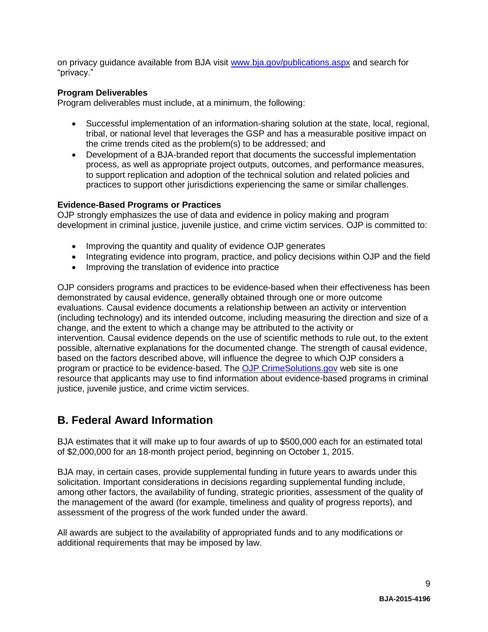on privacy guidance available from BJA visit [www.bja.gov/publications.aspx](https://www.bja.gov/publications.aspx) and search for "privacy."

## **Program Deliverables**

Program deliverables must include, at a minimum, the following:

- Successful implementation of an information-sharing solution at the state, local, regional, tribal, or national level that leverages the GSP and has a measurable positive impact on the crime trends cited as the problem(s) to be addressed; and
- Development of a BJA-branded report that documents the successful implementation process, as well as appropriate project outputs, outcomes, and performance measures, to support replication and adoption of the technical solution and related policies and practices to support other jurisdictions experiencing the same or similar challenges.

## <span id="page-8-0"></span>**Evidence-Based Programs or Practices**

OJP strongly emphasizes the use of data and evidence in policy making and program development in criminal justice, juvenile justice, and crime victim services. OJP is committed to:

- Improving the quantity and quality of evidence OJP generates
- Integrating evidence into program, practice, and policy decisions within OJP and the field
- Improving the translation of evidence into practice

OJP considers programs and practices to be evidence-based when their effectiveness has been demonstrated by causal evidence, generally obtained through one or more outcome evaluations. Causal evidence documents a relationship between an activity or intervention (including technology) and its intended outcome, including measuring the direction and size of a change, and the extent to which a change may be attributed to the activity or intervention. Causal evidence depends on the use of scientific methods to rule out, to the extent possible, alternative explanations for the documented change. The strength of causal evidence, based on the factors described above, will influence the degree to which OJP considers a program or practice to be evidence-based. The [OJP CrimeSolutions.gov](http://www.crimesolutions.gov/) web site is one resource that applicants may use to find information about evidence-based programs in criminal justice, juvenile justice, and crime victim services.

# <span id="page-8-1"></span>**B. Federal Award Information**

BJA estimates that it will make up to four awards of up to \$500,000 each for an estimated total of \$2,000,000 for an 18-month project period, beginning on October 1, 2015.

BJA may, in certain cases, provide supplemental funding in future years to awards under this solicitation. Important considerations in decisions regarding supplemental funding include, among other factors, the availability of funding, strategic priorities, assessment of the quality of the management of the award (for example, timeliness and quality of progress reports), and assessment of the progress of the work funded under the award.

All awards are subject to the availability of appropriated funds and to any modifications or additional requirements that may be imposed by law.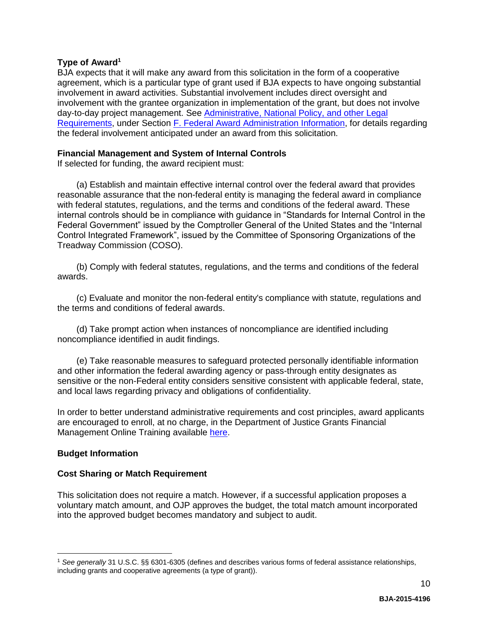## <span id="page-9-0"></span>**Type of Award<sup>1</sup>**

BJA expects that it will make any award from this solicitation in the form of a cooperative agreement, which is a particular type of grant used if BJA expects to have ongoing substantial involvement in award activities. Substantial involvement includes direct oversight and involvement with the grantee organization in implementation of the grant, but does not involve day-to-day project management. See [Administrative, National Policy, and other Legal](#page-26-0)  [Requirements,](#page-26-0) under Section [F. Federal Award Administration Information,](#page-25-0) for details regarding the federal involvement anticipated under an award from this solicitation.

#### <span id="page-9-1"></span>**Financial Management and System of Internal Controls**

If selected for funding, the award recipient must:

(a) Establish and maintain effective internal control over the federal award that provides reasonable assurance that the non-federal entity is managing the federal award in compliance with federal statutes, regulations, and the terms and conditions of the federal award. These internal controls should be in compliance with guidance in "Standards for Internal Control in the Federal Government" issued by the Comptroller General of the United States and the "Internal Control Integrated Framework", issued by the Committee of Sponsoring Organizations of the Treadway Commission (COSO).

(b) Comply with federal statutes, regulations, and the terms and conditions of the federal awards.

(c) Evaluate and monitor the non-federal entity's compliance with statute, regulations and the terms and conditions of federal awards.

(d) Take prompt action when instances of noncompliance are identified including noncompliance identified in audit findings.

(e) Take reasonable measures to safeguard protected personally identifiable information and other information the federal awarding agency or pass-through entity designates as sensitive or the non-Federal entity considers sensitive consistent with applicable federal, state, and local laws regarding privacy and obligations of confidentiality.

In order to better understand administrative requirements and cost principles, award applicants are encouraged to enroll, at no charge, in the Department of Justice Grants Financial Management Online Training available [here.](http://gfm.webfirst.com/)

## <span id="page-9-2"></span>**Budget Information**

 $\overline{a}$ 

## <span id="page-9-3"></span>**Cost Sharing or Match Requirement**

This solicitation does not require a match. However, if a successful application proposes a voluntary match amount, and OJP approves the budget, the total match amount incorporated into the approved budget becomes mandatory and subject to audit.

<sup>1</sup> *See generally* 31 U.S.C. §§ 6301-6305 (defines and describes various forms of federal assistance relationships, including grants and cooperative agreements (a type of grant)).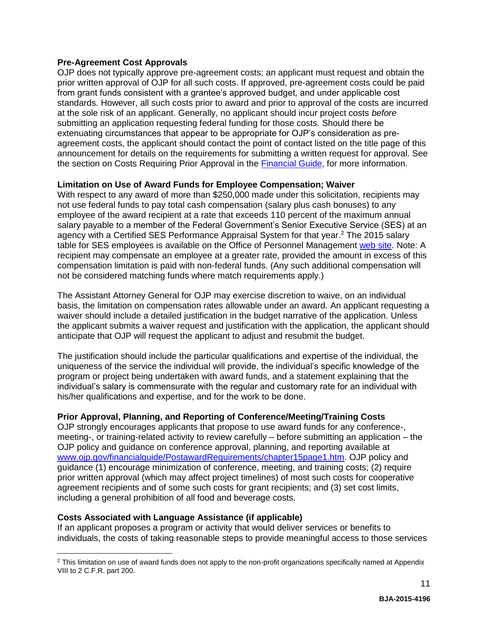## <span id="page-10-0"></span>**Pre-Agreement Cost Approvals**

OJP does not typically approve pre-agreement costs; an applicant must request and obtain the prior written approval of OJP for all such costs. If approved, pre-agreement costs could be paid from grant funds consistent with a grantee's approved budget, and under applicable cost standards. However, all such costs prior to award and prior to approval of the costs are incurred at the sole risk of an applicant. Generally, no applicant should incur project costs *before* submitting an application requesting federal funding for those costs. Should there be extenuating circumstances that appear to be appropriate for OJP's consideration as preagreement costs, the applicant should contact the point of contact listed on the title page of this announcement for details on the requirements for submitting a written request for approval. See the section on Costs Requiring Prior Approval in the [Financial Guide,](http://ojp.gov/financialguide/index.htm) for more information.

## <span id="page-10-1"></span>**Limitation on Use of Award Funds for Employee Compensation; Waiver**

With respect to any award of more than \$250,000 made under this solicitation, recipients may not use federal funds to pay total cash compensation (salary plus cash bonuses) to any employee of the award recipient at a rate that exceeds 110 percent of the maximum annual salary payable to a member of the Federal Government's Senior Executive Service (SES) at an agency with a Certified SES Performance Appraisal System for that year. <sup>2</sup> The 2015 salary table for SES employees is available on the Office of Personnel Management [web site.](http://www.opm.gov/policy-data-oversight/pay-leave/salaries-wages/salary-tables/15Tables/exec/html/ES.aspx) Note: A recipient may compensate an employee at a greater rate, provided the amount in excess of this compensation limitation is paid with non-federal funds. (Any such additional compensation will not be considered matching funds where match requirements apply.)

The Assistant Attorney General for OJP may exercise discretion to waive, on an individual basis, the limitation on compensation rates allowable under an award. An applicant requesting a waiver should include a detailed justification in the budget narrative of the application. Unless the applicant submits a waiver request and justification with the application, the applicant should anticipate that OJP will request the applicant to adjust and resubmit the budget.

The justification should include the particular qualifications and expertise of the individual, the uniqueness of the service the individual will provide, the individual's specific knowledge of the program or project being undertaken with award funds, and a statement explaining that the individual's salary is commensurate with the regular and customary rate for an individual with his/her qualifications and expertise, and for the work to be done.

## <span id="page-10-2"></span>**Prior Approval, Planning, and Reporting of Conference/Meeting/Training Costs**

OJP strongly encourages applicants that propose to use award funds for any conference-, meeting-, or training-related activity to review carefully – before submitting an application – the OJP policy and guidance on conference approval, planning, and reporting available at [www.ojp.gov/financialguide/PostawardRequirements/chapter15page1.htm.](http://www.ojp.gov/financialguide/PostawardRequirements/chapter15page1.htm) OJP policy and guidance (1) encourage minimization of conference, meeting, and training costs; (2) require prior written approval (which may affect project timelines) of most such costs for cooperative agreement recipients and of some such costs for grant recipients; and (3) set cost limits, including a general prohibition of all food and beverage costs.

## <span id="page-10-3"></span>**Costs Associated with Language Assistance (if applicable)**

 $\overline{a}$ 

If an applicant proposes a program or activity that would deliver services or benefits to individuals, the costs of taking reasonable steps to provide meaningful access to those services

<sup>&</sup>lt;sup>2</sup> This limitation on use of award funds does not apply to the non-profit organizations specifically named at Appendix VIII to 2 C.F.R. part 200.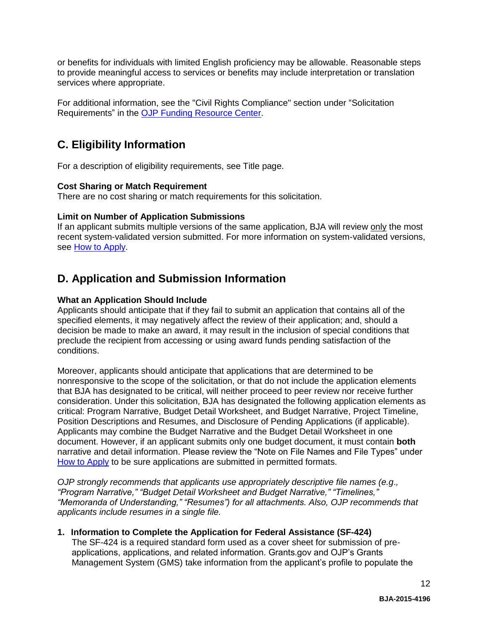or benefits for individuals with limited English proficiency may be allowable. Reasonable steps to provide meaningful access to services or benefits may include interpretation or translation services where appropriate.

For additional information, see the "Civil Rights Compliance" section under "Solicitation Requirements" in the [OJP Funding Resource Center.](http://ojp.gov/funding/index.htm)

# <span id="page-11-0"></span>**C. Eligibility Information**

For a description of eligibility requirements, see Title page.

## <span id="page-11-2"></span>**Cost Sharing or Match Requirement**

There are no cost sharing or match requirements for this solicitation.

## <span id="page-11-3"></span>**Limit on Number of Application Submissions**

If an applicant submits multiple versions of the same application, BJA will review only the most recent system-validated version submitted. For more information on system-validated versions, see [How to Apply.](#page-20-0)

# <span id="page-11-1"></span>**D. Application and Submission Information**

## <span id="page-11-4"></span>**What an Application Should Include**

Applicants should anticipate that if they fail to submit an application that contains all of the specified elements, it may negatively affect the review of their application; and, should a decision be made to make an award, it may result in the inclusion of special conditions that preclude the recipient from accessing or using award funds pending satisfaction of the conditions.

Moreover, applicants should anticipate that applications that are determined to be nonresponsive to the scope of the solicitation, or that do not include the application elements that BJA has designated to be critical, will neither proceed to peer review nor receive further consideration. Under this solicitation, BJA has designated the following application elements as critical: Program Narrative, Budget Detail Worksheet, and Budget Narrative, Project Timeline, Position Descriptions and Resumes, and Disclosure of Pending Applications (if applicable). Applicants may combine the Budget Narrative and the Budget Detail Worksheet in one document. However, if an applicant submits only one budget document, it must contain **both** narrative and detail information. Please review the "Note on File Names and File Types" under [How to Apply](#page-20-0) to be sure applications are submitted in permitted formats.

*OJP strongly recommends that applicants use appropriately descriptive file names (e.g*.*, "Program Narrative," "Budget Detail Worksheet and Budget Narrative," "Timelines," "Memoranda of Understanding," "Resumes") for all attachments. Also, OJP recommends that applicants include resumes in a single file.*

## **1. Information to Complete the Application for Federal Assistance (SF-424)**

The SF-424 is a required standard form used as a cover sheet for submission of preapplications, applications, and related information. Grants.gov and OJP's Grants Management System (GMS) take information from the applicant's profile to populate the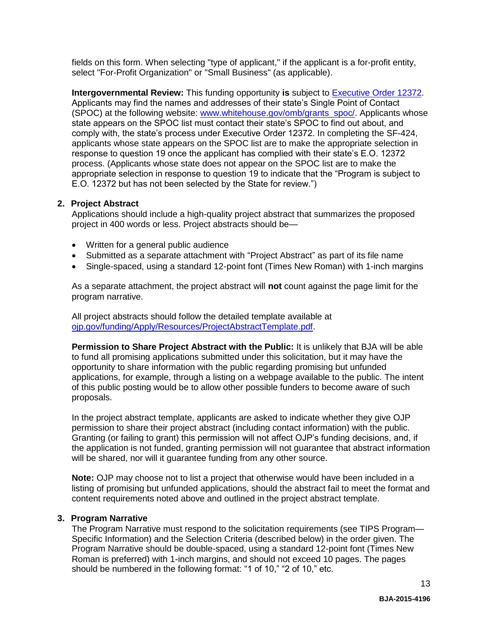fields on this form. When selecting "type of applicant," if the applicant is a for-profit entity, select "For-Profit Organization" or "Small Business" (as applicable).

**Intergovernmental Review:** This funding opportunity **is** subject to [Executive Order 12372.](http://www.archives.gov/federal-register/codification/executive-order/12372.html) Applicants may find the names and addresses of their state's Single Point of Contact (SPOC) at the following website: [www.whitehouse.gov/omb/grants\\_spoc/.](http://www.whitehouse.gov/omb/grants_spoc/) Applicants whose state appears on the SPOC list must contact their state's SPOC to find out about, and comply with, the state's process under Executive Order 12372. In completing the SF-424, applicants whose state appears on the SPOC list are to make the appropriate selection in response to question 19 once the applicant has complied with their state's E.O. 12372 process. (Applicants whose state does not appear on the SPOC list are to make the appropriate selection in response to question 19 to indicate that the "Program is subject to E.O. 12372 but has not been selected by the State for review.")

## **2. Project Abstract**

Applications should include a high-quality project abstract that summarizes the proposed project in 400 words or less. Project abstracts should be—

- Written for a general public audience
- Submitted as a separate attachment with "Project Abstract" as part of its file name
- Single-spaced, using a standard 12-point font (Times New Roman) with 1-inch margins

As a separate attachment, the project abstract will **not** count against the page limit for the program narrative.

All project abstracts should follow the detailed template available at [ojp.gov/funding/Apply/Resources/ProjectAbstractTemplate.pdf.](http://ojp.gov/funding/Apply/Resources/ProjectAbstractTemplate.pdf)

**Permission to Share Project Abstract with the Public:** It is unlikely that BJA will be able to fund all promising applications submitted under this solicitation, but it may have the opportunity to share information with the public regarding promising but unfunded applications, for example, through a listing on a webpage available to the public. The intent of this public posting would be to allow other possible funders to become aware of such proposals.

In the project abstract template, applicants are asked to indicate whether they give OJP permission to share their project abstract (including contact information) with the public. Granting (or failing to grant) this permission will not affect OJP's funding decisions, and, if the application is not funded, granting permission will not guarantee that abstract information will be shared, nor will it guarantee funding from any other source.

**Note:** OJP may choose not to list a project that otherwise would have been included in a listing of promising but unfunded applications, should the abstract fail to meet the format and content requirements noted above and outlined in the project abstract template.

#### **3. Program Narrative**

The Program Narrative must respond to the solicitation requirements (see TIPS Program— Specific Information) and the Selection Criteria (described below) in the order given. The Program Narrative should be double-spaced, using a standard 12-point font (Times New Roman is preferred) with 1-inch margins, and should not exceed 10 pages. The pages should be numbered in the following format: "1 of 10," "2 of 10," etc.

13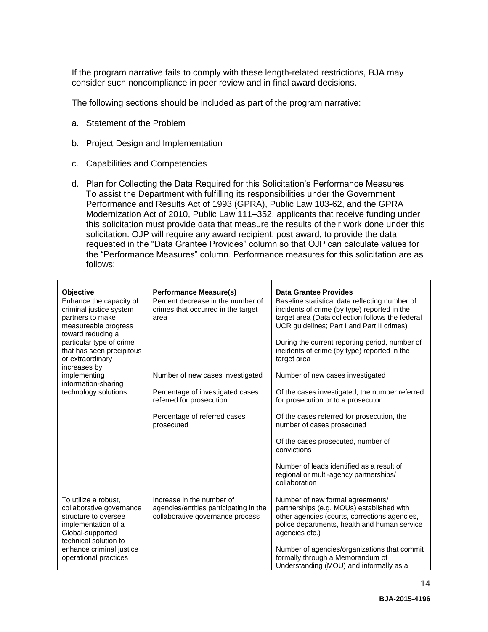If the program narrative fails to comply with these length-related restrictions, BJA may consider such noncompliance in peer review and in final award decisions.

The following sections should be included as part of the program narrative:

- a. Statement of the Problem
- b. Project Design and Implementation
- c. Capabilities and Competencies
- d. Plan for Collecting the Data Required for this Solicitation's Performance Measures To assist the Department with fulfilling its responsibilities under the Government Performance and Results Act of 1993 (GPRA), Public Law 103-62, and the GPRA Modernization Act of 2010, Public Law 111–352, applicants that receive funding under this solicitation must provide data that measure the results of their work done under this solicitation. OJP will require any award recipient, post award, to provide the data requested in the "Data Grantee Provides" column so that OJP can calculate values for the "Performance Measures" column. Performance measures for this solicitation are as follows:

| Objective                                                                                                                                                                                                        | <b>Performance Measure(s)</b>                                                                           | <b>Data Grantee Provides</b>                                                                                                                                                                                                                                                                                      |
|------------------------------------------------------------------------------------------------------------------------------------------------------------------------------------------------------------------|---------------------------------------------------------------------------------------------------------|-------------------------------------------------------------------------------------------------------------------------------------------------------------------------------------------------------------------------------------------------------------------------------------------------------------------|
| Enhance the capacity of<br>criminal justice system<br>partners to make<br>measureable progress<br>toward reducing a<br>particular type of crime<br>that has seen precipitous<br>or extraordinary<br>increases by | Percent decrease in the number of<br>crimes that occurred in the target<br>area                         | Baseline statistical data reflecting number of<br>incidents of crime (by type) reported in the<br>target area (Data collection follows the federal<br>UCR guidelines; Part I and Part II crimes)<br>During the current reporting period, number of<br>incidents of crime (by type) reported in the<br>target area |
| implementing<br>information-sharing                                                                                                                                                                              | Number of new cases investigated                                                                        | Number of new cases investigated                                                                                                                                                                                                                                                                                  |
| technology solutions                                                                                                                                                                                             | Percentage of investigated cases<br>referred for prosecution                                            | Of the cases investigated, the number referred<br>for prosecution or to a prosecutor                                                                                                                                                                                                                              |
|                                                                                                                                                                                                                  | Percentage of referred cases<br>prosecuted                                                              | Of the cases referred for prosecution, the<br>number of cases prosecuted                                                                                                                                                                                                                                          |
|                                                                                                                                                                                                                  |                                                                                                         | Of the cases prosecuted, number of<br>convictions                                                                                                                                                                                                                                                                 |
|                                                                                                                                                                                                                  |                                                                                                         | Number of leads identified as a result of<br>regional or multi-agency partnerships/<br>collaboration                                                                                                                                                                                                              |
| To utilize a robust,<br>collaborative governance<br>structure to oversee<br>implementation of a<br>Global-supported<br>technical solution to                                                                     | Increase in the number of<br>agencies/entities participating in the<br>collaborative governance process | Number of new formal agreements/<br>partnerships (e.g. MOUs) established with<br>other agencies (courts, corrections agencies,<br>police departments, health and human service<br>agencies etc.)                                                                                                                  |
| enhance criminal justice<br>operational practices                                                                                                                                                                |                                                                                                         | Number of agencies/organizations that commit<br>formally through a Memorandum of<br>Understanding (MOU) and informally as a                                                                                                                                                                                       |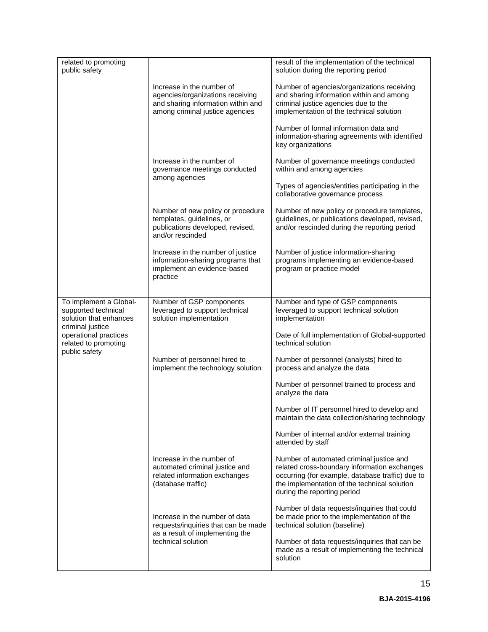| related to promoting<br>public safety                                                                                                                         |                                                                                                                                        | result of the implementation of the technical<br>solution during the reporting period                                                                                                                                       |
|---------------------------------------------------------------------------------------------------------------------------------------------------------------|----------------------------------------------------------------------------------------------------------------------------------------|-----------------------------------------------------------------------------------------------------------------------------------------------------------------------------------------------------------------------------|
|                                                                                                                                                               | Increase in the number of<br>agencies/organizations receiving<br>and sharing information within and<br>among criminal justice agencies | Number of agencies/organizations receiving<br>and sharing information within and among<br>criminal justice agencies due to the<br>implementation of the technical solution                                                  |
|                                                                                                                                                               |                                                                                                                                        | Number of formal information data and<br>information-sharing agreements with identified<br>key organizations                                                                                                                |
|                                                                                                                                                               | Increase in the number of<br>governance meetings conducted<br>among agencies                                                           | Number of governance meetings conducted<br>within and among agencies                                                                                                                                                        |
|                                                                                                                                                               |                                                                                                                                        | Types of agencies/entities participating in the<br>collaborative governance process                                                                                                                                         |
|                                                                                                                                                               | Number of new policy or procedure<br>templates, guidelines, or<br>publications developed, revised,<br>and/or rescinded                 | Number of new policy or procedure templates,<br>guidelines, or publications developed, revised,<br>and/or rescinded during the reporting period                                                                             |
|                                                                                                                                                               | Increase in the number of justice<br>information-sharing programs that<br>implement an evidence-based<br>practice                      | Number of justice information-sharing<br>programs implementing an evidence-based<br>program or practice model                                                                                                               |
|                                                                                                                                                               |                                                                                                                                        |                                                                                                                                                                                                                             |
| To implement a Global-<br>supported technical<br>solution that enhances<br>criminal justice<br>operational practices<br>related to promoting<br>public safety | Number of GSP components<br>leveraged to support technical<br>solution implementation                                                  | Number and type of GSP components<br>leveraged to support technical solution<br>implementation                                                                                                                              |
|                                                                                                                                                               |                                                                                                                                        | Date of full implementation of Global-supported<br>technical solution                                                                                                                                                       |
|                                                                                                                                                               | Number of personnel hired to<br>implement the technology solution                                                                      | Number of personnel (analysts) hired to<br>process and analyze the data                                                                                                                                                     |
|                                                                                                                                                               |                                                                                                                                        | Number of personnel trained to process and<br>analyze the data                                                                                                                                                              |
|                                                                                                                                                               |                                                                                                                                        | Number of IT personnel hired to develop and<br>maintain the data collection/sharing technology                                                                                                                              |
|                                                                                                                                                               |                                                                                                                                        | Number of internal and/or external training<br>attended by staff                                                                                                                                                            |
|                                                                                                                                                               | Increase in the number of<br>automated criminal justice and<br>related information exchanges<br>(database traffic)                     | Number of automated criminal justice and<br>related cross-boundary information exchanges<br>occurring (for example, database traffic) due to<br>the implementation of the technical solution<br>during the reporting period |
|                                                                                                                                                               | Increase in the number of data<br>requests/inquiries that can be made<br>as a result of implementing the                               | Number of data requests/inquiries that could<br>be made prior to the implementation of the<br>technical solution (baseline)                                                                                                 |
|                                                                                                                                                               | technical solution                                                                                                                     | Number of data requests/inquiries that can be<br>made as a result of implementing the technical<br>solution                                                                                                                 |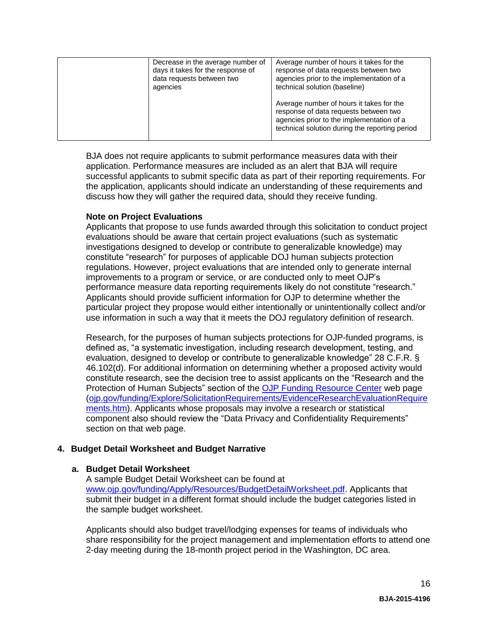| Decrease in the average number of<br>days it takes for the response of<br>data requests between two<br>agencies | Average number of hours it takes for the<br>response of data requests between two<br>agencies prior to the implementation of a<br>technical solution (baseline)                  |
|-----------------------------------------------------------------------------------------------------------------|----------------------------------------------------------------------------------------------------------------------------------------------------------------------------------|
|                                                                                                                 | Average number of hours it takes for the<br>response of data requests between two<br>agencies prior to the implementation of a<br>technical solution during the reporting period |

BJA does not require applicants to submit performance measures data with their application. Performance measures are included as an alert that BJA will require successful applicants to submit specific data as part of their reporting requirements. For the application, applicants should indicate an understanding of these requirements and discuss how they will gather the required data, should they receive funding.

## **Note on Project Evaluations**

Applicants that propose to use funds awarded through this solicitation to conduct project evaluations should be aware that certain project evaluations (such as systematic investigations designed to develop or contribute to generalizable knowledge) may constitute "research" for purposes of applicable DOJ human subjects protection regulations. However, project evaluations that are intended only to generate internal improvements to a program or service, or are conducted only to meet OJP's performance measure data reporting requirements likely do not constitute "research." Applicants should provide sufficient information for OJP to determine whether the particular project they propose would either intentionally or unintentionally collect and/or use information in such a way that it meets the DOJ regulatory definition of research.

Research, for the purposes of human subjects protections for OJP-funded programs, is defined as, "a systematic investigation, including research development, testing, and evaluation, designed to develop or contribute to generalizable knowledge" 28 C.F.R. § 46.102(d). For additional information on determining whether a proposed activity would constitute research, see the decision tree to assist applicants on the "Research and the Protection of Human Subjects" section of the [OJP Funding Resource Center](http://ojp.gov/funding/index.htm) web page [\(ojp.gov/funding/Explore/SolicitationRequirements/EvidenceResearchEvaluationRequire](http://ojp.gov/funding/Explore/SolicitationRequirements/EvidenceResearchEvaluationRequirements.htm) [ments.htm\)](http://ojp.gov/funding/Explore/SolicitationRequirements/EvidenceResearchEvaluationRequirements.htm). Applicants whose proposals may involve a research or statistical component also should review the "Data Privacy and Confidentiality Requirements" section on that web page.

## **4. Budget Detail Worksheet and Budget Narrative**

#### **a. Budget Detail Worksheet**

A sample Budget Detail Worksheet can be found at [www.ojp.gov/funding/Apply/Resources/BudgetDetailWorksheet.pdf.](http://ojp.gov/funding/Apply/Resources/BudgetDetailWorksheet.pdf) Applicants that submit their budget in a different format should include the budget categories listed in the sample budget worksheet.

Applicants should also budget travel/lodging expenses for teams of individuals who share responsibility for the project management and implementation efforts to attend one 2-day meeting during the 18-month project period in the Washington, DC area.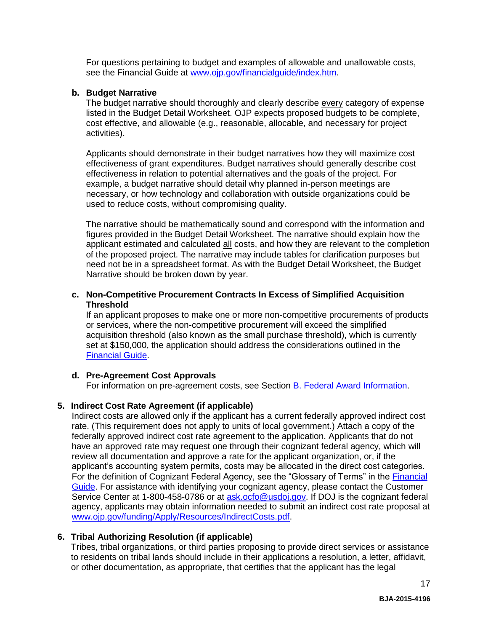For questions pertaining to budget and examples of allowable and unallowable costs, see the Financial Guide at [www.ojp.gov/financialguide/index.htm](http://www.ojp.gov/financialguide/index.htm)*.*

#### **b. Budget Narrative**

The budget narrative should thoroughly and clearly describe every category of expense listed in the Budget Detail Worksheet. OJP expects proposed budgets to be complete, cost effective, and allowable (e.g., reasonable, allocable, and necessary for project activities).

Applicants should demonstrate in their budget narratives how they will maximize cost effectiveness of grant expenditures. Budget narratives should generally describe cost effectiveness in relation to potential alternatives and the goals of the project. For example, a budget narrative should detail why planned in-person meetings are necessary, or how technology and collaboration with outside organizations could be used to reduce costs, without compromising quality.

The narrative should be mathematically sound and correspond with the information and figures provided in the Budget Detail Worksheet. The narrative should explain how the applicant estimated and calculated all costs, and how they are relevant to the completion of the proposed project. The narrative may include tables for clarification purposes but need not be in a spreadsheet format. As with the Budget Detail Worksheet, the Budget Narrative should be broken down by year.

#### **c. Non-Competitive Procurement Contracts In Excess of Simplified Acquisition Threshold**

If an applicant proposes to make one or more non-competitive procurements of products or services, where the non-competitive procurement will exceed the simplified acquisition threshold (also known as the small purchase threshold), which is currently set at \$150,000, the application should address the considerations outlined in the [Financial Guide.](http://ojp.gov/financialguide/index.htm)

## **d. Pre-Agreement Cost Approvals**

For information on pre-agreement costs, see Section [B. Federal Award Information.](#page-8-1)

## **5. Indirect Cost Rate Agreement (if applicable)**

Indirect costs are allowed only if the applicant has a current federally approved indirect cost rate. (This requirement does not apply to units of local government.) Attach a copy of the federally approved indirect cost rate agreement to the application. Applicants that do not have an approved rate may request one through their cognizant federal agency, which will review all documentation and approve a rate for the applicant organization, or, if the applicant's accounting system permits, costs may be allocated in the direct cost categories. For the definition of Cognizant Federal Agency, see the "Glossary of Terms" in the [Financial](http://ojp.gov/financialguide/index.htm)  [Guide.](http://ojp.gov/financialguide/index.htm) For assistance with identifying your cognizant agency, please contact the Customer Service Center at 1-800-458-0786 or at [ask.ocfo@usdoj.gov.](mailto:ask.ocfo@usdoj.gov) If DOJ is the cognizant federal agency, applicants may obtain information needed to submit an indirect cost rate proposal at [www.ojp.gov/funding/Apply/Resources/IndirectCosts.pdf.](http://www.ojp.gov/funding/Apply/Resources/IndirectCosts.pdf)

## **6. Tribal Authorizing Resolution (if applicable)**

Tribes, tribal organizations, or third parties proposing to provide direct services or assistance to residents on tribal lands should include in their applications a resolution, a letter, affidavit, or other documentation, as appropriate, that certifies that the applicant has the legal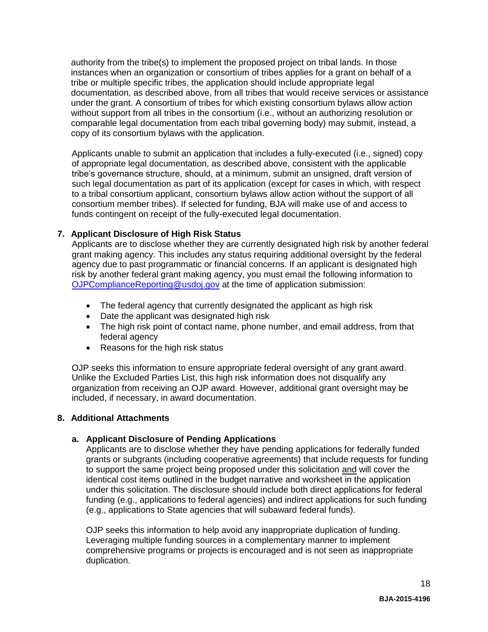authority from the tribe(s) to implement the proposed project on tribal lands. In those instances when an organization or consortium of tribes applies for a grant on behalf of a tribe or multiple specific tribes, the application should include appropriate legal documentation, as described above, from all tribes that would receive services or assistance under the grant. A consortium of tribes for which existing consortium bylaws allow action without support from all tribes in the consortium (i.e., without an authorizing resolution or comparable legal documentation from each tribal governing body) may submit, instead, a copy of its consortium bylaws with the application.

Applicants unable to submit an application that includes a fully-executed (i.e., signed) copy of appropriate legal documentation, as described above, consistent with the applicable tribe's governance structure, should, at a minimum, submit an unsigned, draft version of such legal documentation as part of its application (except for cases in which, with respect to a tribal consortium applicant, consortium bylaws allow action without the support of all consortium member tribes). If selected for funding, BJA will make use of and access to funds contingent on receipt of the fully-executed legal documentation.

## **7. Applicant Disclosure of High Risk Status**

Applicants are to disclose whether they are currently designated high risk by another federal grant making agency. This includes any status requiring additional oversight by the federal agency due to past programmatic or financial concerns. If an applicant is designated high risk by another federal grant making agency, you must email the following information to [OJPComplianceReporting@usdoj.gov](mailto:OJPComplianceReporting@usdoj.gov) at the time of application submission:

- The federal agency that currently designated the applicant as high risk
- Date the applicant was designated high risk
- The high risk point of contact name, phone number, and email address, from that federal agency
- Reasons for the high risk status

OJP seeks this information to ensure appropriate federal oversight of any grant award. Unlike the Excluded Parties List, this high risk information does not disqualify any organization from receiving an OJP award. However, additional grant oversight may be included, if necessary, in award documentation.

## **8. Additional Attachments**

## **a. Applicant Disclosure of Pending Applications**

Applicants are to disclose whether they have pending applications for federally funded grants or subgrants (including cooperative agreements) that include requests for funding to support the same project being proposed under this solicitation and will cover the identical cost items outlined in the budget narrative and worksheet in the application under this solicitation. The disclosure should include both direct applications for federal funding (e.g., applications to federal agencies) and indirect applications for such funding (e.g., applications to State agencies that will subaward federal funds).

OJP seeks this information to help avoid any inappropriate duplication of funding. Leveraging multiple funding sources in a complementary manner to implement comprehensive programs or projects is encouraged and is not seen as inappropriate duplication.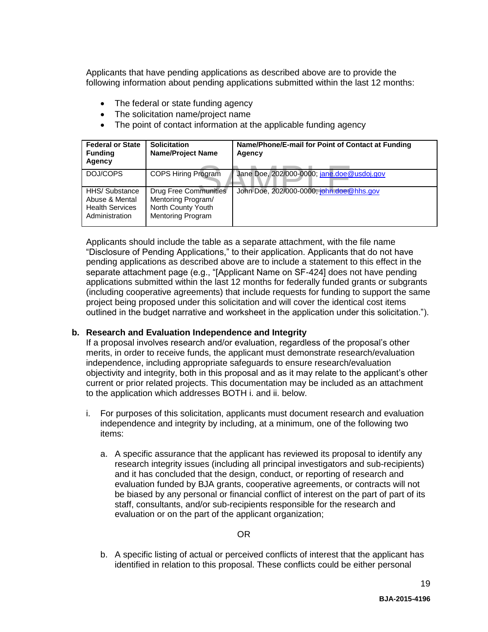Applicants that have pending applications as described above are to provide the following information about pending applications submitted within the last 12 months:

- The federal or state funding agency
- The solicitation name/project name
- The point of contact information at the applicable funding agency

| <b>Federal or State</b><br><b>Funding</b><br>Agency                          | <b>Solicitation</b><br><b>Name/Project Name</b>                                                      | Name/Phone/E-mail for Point of Contact at Funding<br>Agency |
|------------------------------------------------------------------------------|------------------------------------------------------------------------------------------------------|-------------------------------------------------------------|
| DOJ/COPS                                                                     | <b>COPS Hiring Program</b>                                                                           | Jane Doe, 202/000-0000; jane.doe@usdoj.gov                  |
| HHS/ Substance<br>Abuse & Mental<br><b>Health Services</b><br>Administration | <b>Drug Free Communities</b><br>Mentoring Program/<br>North County Youth<br><b>Mentoring Program</b> | John Doe, 202/000-0000; john.doe@hhs.gov                    |

Applicants should include the table as a separate attachment, with the file name "Disclosure of Pending Applications," to their application. Applicants that do not have pending applications as described above are to include a statement to this effect in the separate attachment page (e.g., "[Applicant Name on SF-424] does not have pending applications submitted within the last 12 months for federally funded grants or subgrants (including cooperative agreements) that include requests for funding to support the same project being proposed under this solicitation and will cover the identical cost items outlined in the budget narrative and worksheet in the application under this solicitation.").

## **b. Research and Evaluation Independence and Integrity**

If a proposal involves research and/or evaluation, regardless of the proposal's other merits, in order to receive funds, the applicant must demonstrate research/evaluation independence, including appropriate safeguards to ensure research/evaluation objectivity and integrity, both in this proposal and as it may relate to the applicant's other current or prior related projects. This documentation may be included as an attachment to the application which addresses BOTH i. and ii. below.

- i. For purposes of this solicitation, applicants must document research and evaluation independence and integrity by including, at a minimum, one of the following two items:
	- a. A specific assurance that the applicant has reviewed its proposal to identify any research integrity issues (including all principal investigators and sub-recipients) and it has concluded that the design, conduct, or reporting of research and evaluation funded by BJA grants, cooperative agreements, or contracts will not be biased by any personal or financial conflict of interest on the part of part of its staff, consultants, and/or sub-recipients responsible for the research and evaluation or on the part of the applicant organization;

## OR

b. A specific listing of actual or perceived conflicts of interest that the applicant has identified in relation to this proposal. These conflicts could be either personal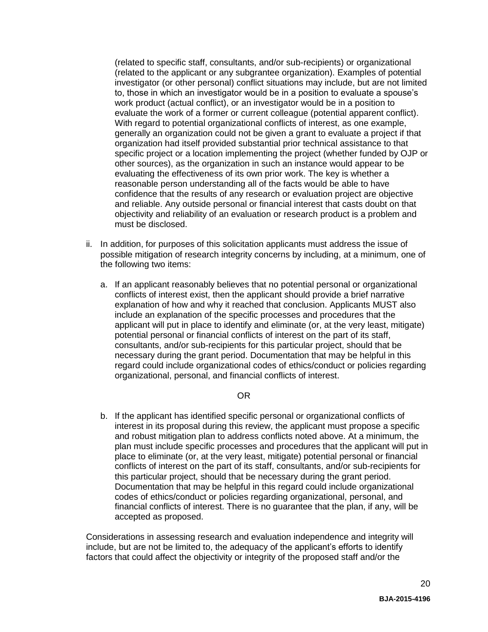(related to specific staff, consultants, and/or sub-recipients) or organizational (related to the applicant or any subgrantee organization). Examples of potential investigator (or other personal) conflict situations may include, but are not limited to, those in which an investigator would be in a position to evaluate a spouse's work product (actual conflict), or an investigator would be in a position to evaluate the work of a former or current colleague (potential apparent conflict). With regard to potential organizational conflicts of interest, as one example, generally an organization could not be given a grant to evaluate a project if that organization had itself provided substantial prior technical assistance to that specific project or a location implementing the project (whether funded by OJP or other sources), as the organization in such an instance would appear to be evaluating the effectiveness of its own prior work. The key is whether a reasonable person understanding all of the facts would be able to have confidence that the results of any research or evaluation project are objective and reliable. Any outside personal or financial interest that casts doubt on that objectivity and reliability of an evaluation or research product is a problem and must be disclosed.

- ii. In addition, for purposes of this solicitation applicants must address the issue of possible mitigation of research integrity concerns by including, at a minimum, one of the following two items:
	- a. If an applicant reasonably believes that no potential personal or organizational conflicts of interest exist, then the applicant should provide a brief narrative explanation of how and why it reached that conclusion. Applicants MUST also include an explanation of the specific processes and procedures that the applicant will put in place to identify and eliminate (or, at the very least, mitigate) potential personal or financial conflicts of interest on the part of its staff, consultants, and/or sub-recipients for this particular project, should that be necessary during the grant period. Documentation that may be helpful in this regard could include organizational codes of ethics/conduct or policies regarding organizational, personal, and financial conflicts of interest.

## OR

b. If the applicant has identified specific personal or organizational conflicts of interest in its proposal during this review, the applicant must propose a specific and robust mitigation plan to address conflicts noted above. At a minimum, the plan must include specific processes and procedures that the applicant will put in place to eliminate (or, at the very least, mitigate) potential personal or financial conflicts of interest on the part of its staff, consultants, and/or sub-recipients for this particular project, should that be necessary during the grant period. Documentation that may be helpful in this regard could include organizational codes of ethics/conduct or policies regarding organizational, personal, and financial conflicts of interest. There is no guarantee that the plan, if any, will be accepted as proposed.

Considerations in assessing research and evaluation independence and integrity will include, but are not be limited to, the adequacy of the applicant's efforts to identify factors that could affect the objectivity or integrity of the proposed staff and/or the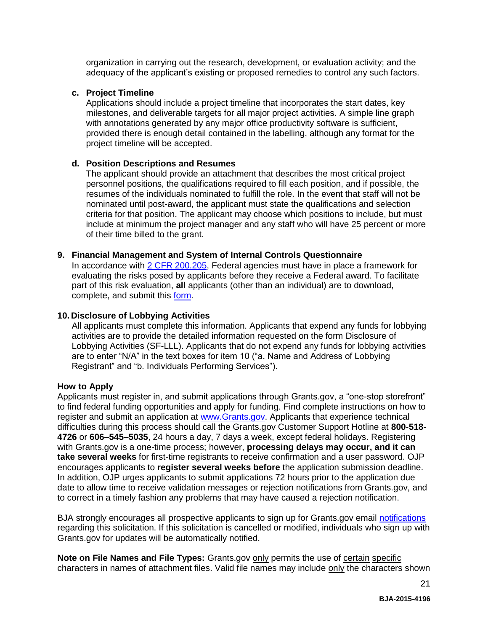organization in carrying out the research, development, or evaluation activity; and the adequacy of the applicant's existing or proposed remedies to control any such factors.

#### **c. Project Timeline**

Applications should include a project timeline that incorporates the start dates, key milestones, and deliverable targets for all major project activities. A simple line graph with annotations generated by any major office productivity software is sufficient, provided there is enough detail contained in the labelling, although any format for the project timeline will be accepted.

#### **d. Position Descriptions and Resumes**

The applicant should provide an attachment that describes the most critical project personnel positions, the qualifications required to fill each position, and if possible, the resumes of the individuals nominated to fulfill the role. In the event that staff will not be nominated until post-award, the applicant must state the qualifications and selection criteria for that position. The applicant may choose which positions to include, but must include at minimum the project manager and any staff who will have 25 percent or more of their time billed to the grant.

#### **9. Financial Management and System of Internal Controls Questionnaire**

In accordance with [2 CFR 200.205,](http://www.ecfr.gov/cgi-bin/text-idx?SID=2ebfb13012953333f32ed4cf1411e33e&node=pt2.1.200&rgn=div5#se2.1.200_1205) Federal agencies must have in place a framework for evaluating the risks posed by applicants before they receive a Federal award. To facilitate part of this risk evaluation, **all** applicants (other than an individual) are to download, complete, and submit this [form.](http://ojp.gov/funding/Apply/Resources/FinancialCapability.pdf)

#### **10. Disclosure of Lobbying Activities**

All applicants must complete this information. Applicants that expend any funds for lobbying activities are to provide the detailed information requested on the form Disclosure of Lobbying Activities (SF-LLL). Applicants that do not expend any funds for lobbying activities are to enter "N/A" in the text boxes for item 10 ("a. Name and Address of Lobbying Registrant" and "b. Individuals Performing Services").

#### <span id="page-20-0"></span>**How to Apply**

Applicants must register in, and submit applications through Grants.gov, a "one-stop storefront" to find federal funding opportunities and apply for funding. Find complete instructions on how to register and submit an application at [www.Grants.gov.](http://www.grants.gov/) Applicants that experience technical difficulties during this process should call the Grants.gov Customer Support Hotline at **800**-**518**- **4726** or **606–545–5035**, 24 hours a day, 7 days a week, except federal holidays. Registering with Grants.gov is a one-time process; however, **processing delays may occur, and it can take several weeks** for first-time registrants to receive confirmation and a user password. OJP encourages applicants to **register several weeks before** the application submission deadline. In addition, OJP urges applicants to submit applications 72 hours prior to the application due date to allow time to receive validation messages or rejection notifications from Grants.gov, and to correct in a timely fashion any problems that may have caused a rejection notification.

BJA strongly encourages all prospective applicants to sign up for Grants.gov email [notifications](http://www.grants.gov/web/grants/manage-subscriptions.html) regarding this solicitation. If this solicitation is cancelled or modified, individuals who sign up with Grants.gov for updates will be automatically notified.

**Note on File Names and File Types:** Grants.gov only permits the use of certain specific characters in names of attachment files. Valid file names may include only the characters shown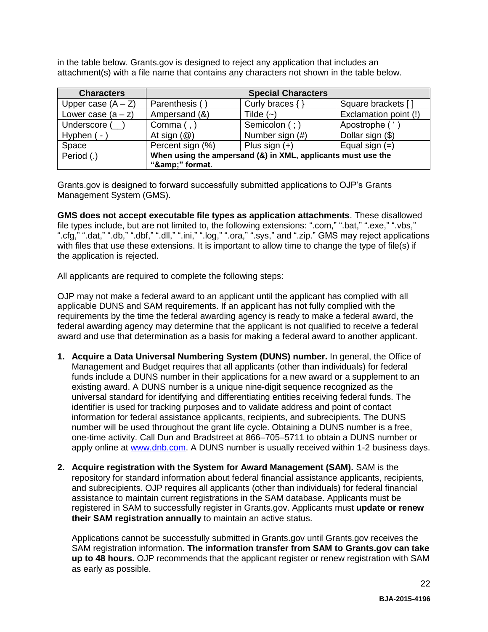in the table below. Grants.gov is designed to reject any application that includes an attachment(s) with a file name that contains any characters not shown in the table below.

| <b>Characters</b>    | <b>Special Characters</b>                                    |                 |                       |
|----------------------|--------------------------------------------------------------|-----------------|-----------------------|
| Upper case $(A - Z)$ | Parenthesis (                                                | Curly braces {  | Square brackets [     |
| Lower case $(a - z)$ | Ampersand (&)                                                | Tilde $(-)$     | Exclamation point (!) |
| Underscore (         | Comma $($ , $)$                                              | Semicolon (; )  | Apostrophe ('         |
| Hyphen ( -           | At sign $(\mathcal{Q})$                                      | Number sign (#) | Dollar sign (\$)      |
| Space                | Percent sign (%)                                             | Plus sign $(+)$ | Equal sign $(=)$      |
| Period (.)           | When using the ampersand (&) in XML, applicants must use the |                 |                       |
|                      | "&" format.                                                  |                 |                       |

Grants.gov is designed to forward successfully submitted applications to OJP's Grants Management System (GMS).

**GMS does not accept executable file types as application attachments**. These disallowed file types include, but are not limited to, the following extensions: ".com," ".bat," ".exe," ".vbs," ".cfg," ".dat," ".db," ".dbf," ".dll," ".ini," ".log," ".ora," ".sys," and ".zip." GMS may reject applications with files that use these extensions. It is important to allow time to change the type of file(s) if the application is rejected.

All applicants are required to complete the following steps:

OJP may not make a federal award to an applicant until the applicant has complied with all applicable DUNS and SAM requirements. If an applicant has not fully complied with the requirements by the time the federal awarding agency is ready to make a federal award, the federal awarding agency may determine that the applicant is not qualified to receive a federal award and use that determination as a basis for making a federal award to another applicant.

- **1. Acquire a Data Universal Numbering System (DUNS) number.** In general, the Office of Management and Budget requires that all applicants (other than individuals) for federal funds include a DUNS number in their applications for a new award or a supplement to an existing award. A DUNS number is a unique nine-digit sequence recognized as the universal standard for identifying and differentiating entities receiving federal funds. The identifier is used for tracking purposes and to validate address and point of contact information for federal assistance applicants, recipients, and subrecipients. The DUNS number will be used throughout the grant life cycle. Obtaining a DUNS number is a free, one-time activity. Call Dun and Bradstreet at 866–705–5711 to obtain a DUNS number or apply online at [www.dnb.com.](http://www.dnb.com/) A DUNS number is usually received within 1-2 business days.
- **2. Acquire registration with the System for Award Management (SAM).** SAM is the repository for standard information about federal financial assistance applicants, recipients, and subrecipients. OJP requires all applicants (other than individuals) for federal financial assistance to maintain current registrations in the SAM database. Applicants must be registered in SAM to successfully register in Grants.gov. Applicants must **update or renew their SAM registration annually** to maintain an active status.

Applications cannot be successfully submitted in Grants.gov until Grants.gov receives the SAM registration information. **The information transfer from SAM to Grants.gov can take up to 48 hours.** OJP recommends that the applicant register or renew registration with SAM as early as possible.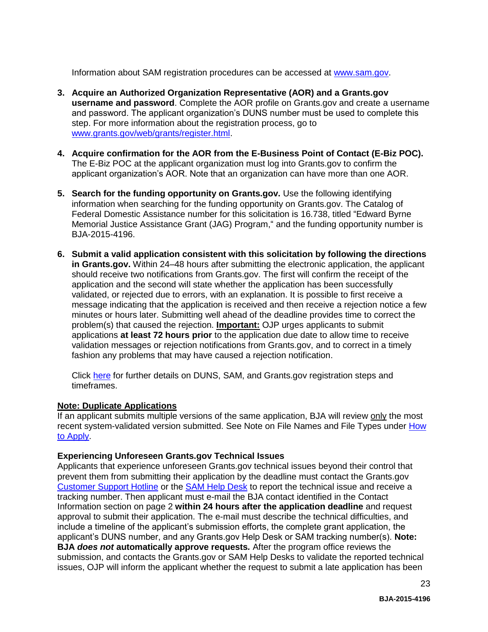Information about SAM registration procedures can be accessed at [www.sam.gov.](https://www.sam.gov/portal/public/SAM/?portal:componentId=1f834b82-3fed-4eb3-a1f8-ea1f226a7955&portal:type=action&interactionstate=JBPNS_rO0ABXc0ABBfanNmQnJpZGdlVmlld0lkAAAAAQATL2pzZi9uYXZpZ2F0aW9uLmpzcAAHX19FT0ZfXw**)

- **3. Acquire an Authorized Organization Representative (AOR) and a Grants.gov username and password**. Complete the AOR profile on Grants.gov and create a username and password. The applicant organization's DUNS number must be used to complete this step. For more information about the registration process, go to [www.grants.gov/web/grants/register.html.](http://www.grants.gov/web/grants/register.html)
- **4. Acquire confirmation for the AOR from the E-Business Point of Contact (E-Biz POC).**  The E-Biz POC at the applicant organization must log into Grants.gov to confirm the applicant organization's AOR. Note that an organization can have more than one AOR.
- **5. Search for the funding opportunity on Grants.gov.** Use the following identifying information when searching for the funding opportunity on Grants.gov. The Catalog of Federal Domestic Assistance number for this solicitation is 16.738, titled "Edward Byrne Memorial Justice Assistance Grant (JAG) Program," and the funding opportunity number is BJA-2015-4196.
- **6. Submit a valid application consistent with this solicitation by following the directions in Grants.gov.** Within 24–48 hours after submitting the electronic application, the applicant should receive two notifications from Grants.gov. The first will confirm the receipt of the application and the second will state whether the application has been successfully validated, or rejected due to errors, with an explanation. It is possible to first receive a message indicating that the application is received and then receive a rejection notice a few minutes or hours later. Submitting well ahead of the deadline provides time to correct the problem(s) that caused the rejection. **Important:** OJP urges applicants to submit applications **at least 72 hours prior** to the application due date to allow time to receive validation messages or rejection notifications from Grants.gov, and to correct in a timely fashion any problems that may have caused a rejection notification.

Click [here](http://www.grants.gov/web/grants/applicants/organization-registration.html) for further details on DUNS, SAM, and Grants.gov registration steps and timeframes.

## **Note: Duplicate Applications**

If an applicant submits multiple versions of the same application, BJA will review only the most recent system-validated version submitted. See Note on File Names and File Types under [How](#page-20-0)  [to Apply.](#page-20-0)

#### **Experiencing Unforeseen Grants.gov Technical Issues**

Applicants that experience unforeseen Grants.gov technical issues beyond their control that prevent them from submitting their application by the deadline must contact the Grants.gov [Customer Support Hotline](http://www.grants.gov/web/grants/about/contact-us.html) or the [SAM Help Desk](https://www.fsd.gov/fsd-gov/home.do) to report the technical issue and receive a tracking number. Then applicant must e-mail the BJA contact identified in the Contact Information section on page 2 **within 24 hours after the application deadline** and request approval to submit their application. The e-mail must describe the technical difficulties, and include a timeline of the applicant's submission efforts, the complete grant application, the applicant's DUNS number, and any Grants.gov Help Desk or SAM tracking number(s). **Note: BJA** *does not* **automatically approve requests***.* After the program office reviews the submission, and contacts the Grants.gov or SAM Help Desks to validate the reported technical issues, OJP will inform the applicant whether the request to submit a late application has been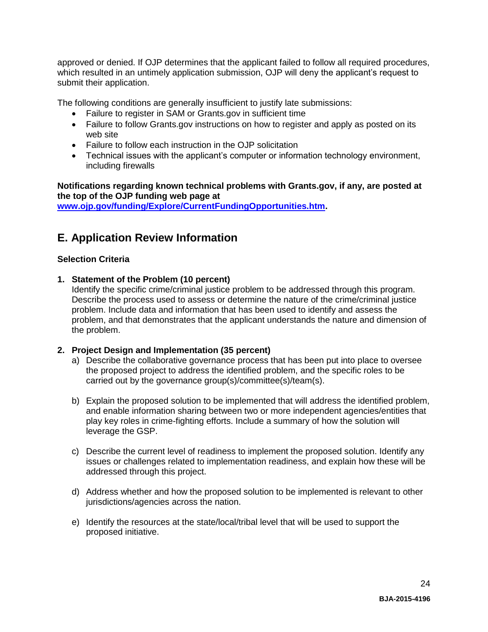approved or denied. If OJP determines that the applicant failed to follow all required procedures, which resulted in an untimely application submission, OJP will deny the applicant's request to submit their application.

The following conditions are generally insufficient to justify late submissions:

- Failure to register in SAM or Grants.gov in sufficient time
- Failure to follow Grants.gov instructions on how to register and apply as posted on its web site
- Failure to follow each instruction in the OJP solicitation
- Technical issues with the applicant's computer or information technology environment, including firewalls

## **Notifications regarding known technical problems with Grants.gov, if any, are posted at the top of the OJP funding web page at**

**[www.ojp.gov/funding/Explore/CurrentFundingOpportunities.htm.](http://ojp.gov/funding/Explore/CurrentFundingOpportunities.htm)**

# <span id="page-23-0"></span>**E. Application Review Information**

## <span id="page-23-1"></span>**Selection Criteria**

**1. Statement of the Problem (10 percent)**

Identify the specific crime/criminal justice problem to be addressed through this program. Describe the process used to assess or determine the nature of the crime/criminal justice problem. Include data and information that has been used to identify and assess the problem, and that demonstrates that the applicant understands the nature and dimension of the problem.

## **2. Project Design and Implementation (35 percent)**

- a) Describe the collaborative governance process that has been put into place to oversee the proposed project to address the identified problem, and the specific roles to be carried out by the governance group(s)/committee(s)/team(s).
- b) Explain the proposed solution to be implemented that will address the identified problem, and enable information sharing between two or more independent agencies/entities that play key roles in crime-fighting efforts. Include a summary of how the solution will leverage the GSP.
- c) Describe the current level of readiness to implement the proposed solution. Identify any issues or challenges related to implementation readiness, and explain how these will be addressed through this project.
- d) Address whether and how the proposed solution to be implemented is relevant to other jurisdictions/agencies across the nation.
- e) Identify the resources at the state/local/tribal level that will be used to support the proposed initiative.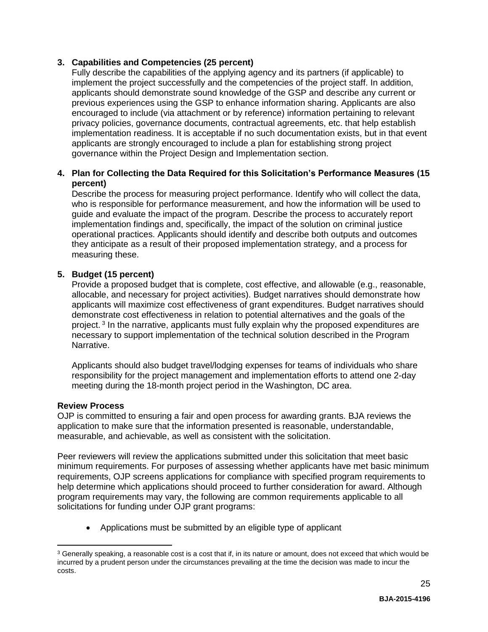## **3. Capabilities and Competencies (25 percent)**

Fully describe the capabilities of the applying agency and its partners (if applicable) to implement the project successfully and the competencies of the project staff. In addition, applicants should demonstrate sound knowledge of the GSP and describe any current or previous experiences using the GSP to enhance information sharing. Applicants are also encouraged to include (via attachment or by reference) information pertaining to relevant privacy policies, governance documents, contractual agreements, etc. that help establish implementation readiness. It is acceptable if no such documentation exists, but in that event applicants are strongly encouraged to include a plan for establishing strong project governance within the Project Design and Implementation section.

## **4. Plan for Collecting the Data Required for this Solicitation's Performance Measures (15 percent)**

Describe the process for measuring project performance. Identify who will collect the data, who is responsible for performance measurement, and how the information will be used to guide and evaluate the impact of the program. Describe the process to accurately report implementation findings and, specifically, the impact of the solution on criminal justice operational practices. Applicants should identify and describe both outputs and outcomes they anticipate as a result of their proposed implementation strategy, and a process for measuring these.

## **5. Budget (15 percent)**

Provide a proposed budget that is complete, cost effective, and allowable (e.g., reasonable, allocable, and necessary for project activities). Budget narratives should demonstrate how applicants will maximize cost effectiveness of grant expenditures. Budget narratives should demonstrate cost effectiveness in relation to potential alternatives and the goals of the project.<sup>3</sup> In the narrative, applicants must fully explain why the proposed expenditures are necessary to support implementation of the technical solution described in the Program Narrative.

Applicants should also budget travel/lodging expenses for teams of individuals who share responsibility for the project management and implementation efforts to attend one 2-day meeting during the 18-month project period in the Washington, DC area.

## <span id="page-24-0"></span>**Review Process**

 $\overline{a}$ 

OJP is committed to ensuring a fair and open process for awarding grants. BJA reviews the application to make sure that the information presented is reasonable, understandable, measurable, and achievable, as well as consistent with the solicitation.

Peer reviewers will review the applications submitted under this solicitation that meet basic minimum requirements. For purposes of assessing whether applicants have met basic minimum requirements, OJP screens applications for compliance with specified program requirements to help determine which applications should proceed to further consideration for award. Although program requirements may vary, the following are common requirements applicable to all solicitations for funding under OJP grant programs:

Applications must be submitted by an eligible type of applicant

 $3$  Generally speaking, a reasonable cost is a cost that if, in its nature or amount, does not exceed that which would be incurred by a prudent person under the circumstances prevailing at the time the decision was made to incur the costs.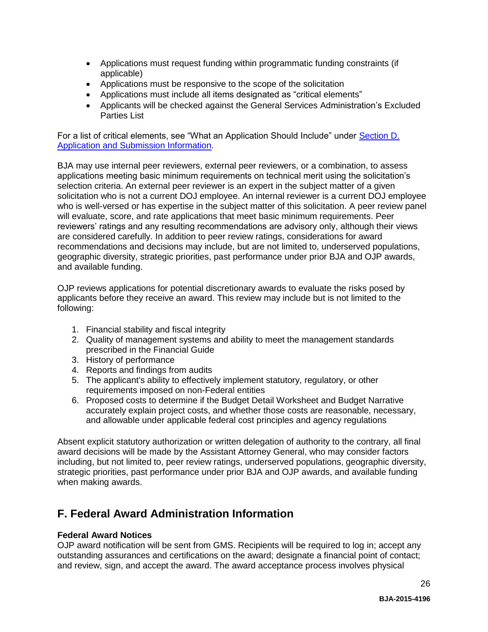- Applications must request funding within programmatic funding constraints (if applicable)
- Applications must be responsive to the scope of the solicitation
- Applications must include all items designated as "critical elements"
- Applicants will be checked against the General Services Administration's Excluded Parties List

For a list of critical elements, see "What an Application Should Include" under Section D. [Application and Submission Information.](#page-11-1)

BJA may use internal peer reviewers, external peer reviewers, or a combination, to assess applications meeting basic minimum requirements on technical merit using the solicitation's selection criteria. An external peer reviewer is an expert in the subject matter of a given solicitation who is not a current DOJ employee. An internal reviewer is a current DOJ employee who is well-versed or has expertise in the subject matter of this solicitation. A peer review panel will evaluate, score, and rate applications that meet basic minimum requirements. Peer reviewers' ratings and any resulting recommendations are advisory only, although their views are considered carefully. In addition to peer review ratings, considerations for award recommendations and decisions may include, but are not limited to, underserved populations, geographic diversity, strategic priorities, past performance under prior BJA and OJP awards, and available funding.

OJP reviews applications for potential discretionary awards to evaluate the risks posed by applicants before they receive an award. This review may include but is not limited to the following:

- 1. Financial stability and fiscal integrity
- 2. Quality of management systems and ability to meet the management standards prescribed in the Financial Guide
- 3. History of performance
- 4. Reports and findings from audits
- 5. The applicant's ability to effectively implement statutory, regulatory, or other requirements imposed on non-Federal entities
- 6. Proposed costs to determine if the Budget Detail Worksheet and Budget Narrative accurately explain project costs, and whether those costs are reasonable, necessary, and allowable under applicable federal cost principles and agency regulations

Absent explicit statutory authorization or written delegation of authority to the contrary, all final award decisions will be made by the Assistant Attorney General, who may consider factors including, but not limited to, peer review ratings, underserved populations, geographic diversity, strategic priorities, past performance under prior BJA and OJP awards, and available funding when making awards.

# <span id="page-25-0"></span>**F. Federal Award Administration Information**

## <span id="page-25-1"></span>**Federal Award Notices**

OJP award notification will be sent from GMS. Recipients will be required to log in; accept any outstanding assurances and certifications on the award; designate a financial point of contact; and review, sign, and accept the award. The award acceptance process involves physical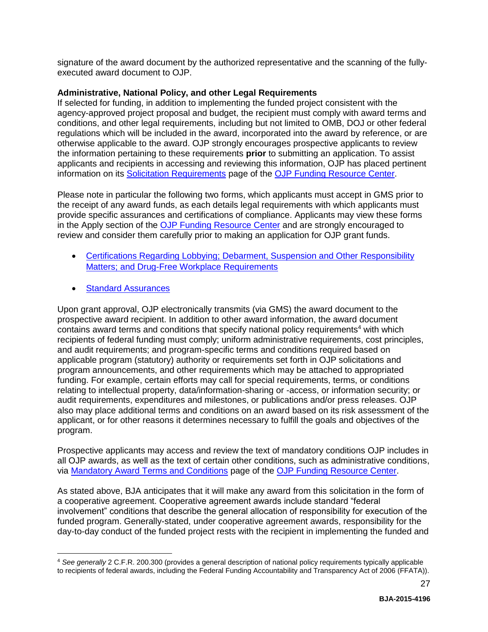signature of the award document by the authorized representative and the scanning of the fullyexecuted award document to OJP.

#### <span id="page-26-0"></span>**Administrative, National Policy, and other Legal Requirements**

If selected for funding, in addition to implementing the funded project consistent with the agency-approved project proposal and budget, the recipient must comply with award terms and conditions, and other legal requirements, including but not limited to OMB, DOJ or other federal regulations which will be included in the award, incorporated into the award by reference, or are otherwise applicable to the award. OJP strongly encourages prospective applicants to review the information pertaining to these requirements **prior** to submitting an application. To assist applicants and recipients in accessing and reviewing this information, OJP has placed pertinent information on its [Solicitation Requirements](http://ojp.gov/funding/Explore/SolicitationRequirements/index.htm) page of the OJP [Funding Resource Center.](http://ojp.gov/funding/index.htm)

Please note in particular the following two forms, which applicants must accept in GMS prior to the receipt of any award funds, as each details legal requirements with which applicants must provide specific assurances and certifications of compliance. Applicants may view these forms in the Apply section of the [OJP Funding Resource Center](http://ojp.gov/funding/index.htm) and are strongly encouraged to review and consider them carefully prior to making an application for OJP grant funds.

- Certifications Regarding Lobbying; Debarment, Suspension and Other Responsibility [Matters; and Drug-Free Workplace Requirements](http://ojp.gov/funding/Apply/Forms.htm)
- [Standard Assurances](http://ojp.gov/funding/Apply/Forms.htm)

 $\overline{a}$ 

Upon grant approval, OJP electronically transmits (via GMS) the award document to the prospective award recipient. In addition to other award information, the award document contains award terms and conditions that specify national policy requirements<sup>4</sup> with which recipients of federal funding must comply; uniform administrative requirements, cost principles, and audit requirements; and program-specific terms and conditions required based on applicable program (statutory) authority or requirements set forth in OJP solicitations and program announcements, and other requirements which may be attached to appropriated funding. For example, certain efforts may call for special requirements, terms, or conditions relating to intellectual property, data/information-sharing or -access, or information security; or audit requirements, expenditures and milestones, or publications and/or press releases. OJP also may place additional terms and conditions on an award based on its risk assessment of the applicant, or for other reasons it determines necessary to fulfill the goals and objectives of the program.

Prospective applicants may access and review the text of mandatory conditions OJP includes in all OJP awards, as well as the text of certain other conditions, such as administrative conditions, via [Mandatory Award Terms and Conditions](http://ojp.gov/funding/Explore/SolicitationRequirements/MandatoryTermsConditions.htm) page of the OJP [Funding Resource Center.](http://ojp.gov/funding/index.htm)

As stated above, BJA anticipates that it will make any award from this solicitation in the form of a cooperative agreement. Cooperative agreement awards include standard "federal involvement" conditions that describe the general allocation of responsibility for execution of the funded program. Generally-stated, under cooperative agreement awards, responsibility for the day-to-day conduct of the funded project rests with the recipient in implementing the funded and

<sup>4</sup> *See generally* 2 C.F.R. 200.300 (provides a general description of national policy requirements typically applicable to recipients of federal awards, including the Federal Funding Accountability and Transparency Act of 2006 (FFATA)).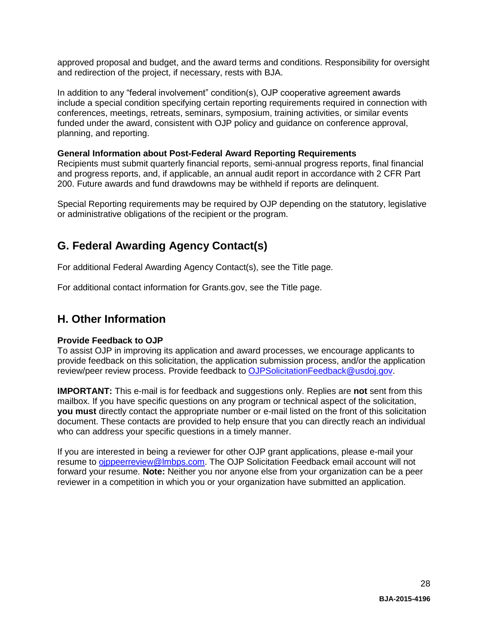approved proposal and budget, and the award terms and conditions. Responsibility for oversight and redirection of the project, if necessary, rests with BJA.

In addition to any "federal involvement" condition(s), OJP cooperative agreement awards include a special condition specifying certain reporting requirements required in connection with conferences, meetings, retreats, seminars, symposium, training activities, or similar events funded under the award, consistent with OJP policy and guidance on conference approval, planning, and reporting.

#### <span id="page-27-0"></span>**General Information about Post-Federal Award Reporting Requirements**

Recipients must submit quarterly financial reports, semi-annual progress reports, final financial and progress reports, and, if applicable, an annual audit report in accordance with 2 CFR Part 200. Future awards and fund drawdowns may be withheld if reports are delinquent.

Special Reporting requirements may be required by OJP depending on the statutory, legislative or administrative obligations of the recipient or the program.

# <span id="page-27-1"></span>**G. Federal Awarding Agency Contact(s)**

For additional Federal Awarding Agency Contact(s), see the Title page.

For additional contact information for Grants.gov, see the Title page.

# <span id="page-27-2"></span>**H. Other Information**

## <span id="page-27-3"></span>**Provide Feedback to OJP**

To assist OJP in improving its application and award processes, we encourage applicants to provide feedback on this solicitation, the application submission process, and/or the application review/peer review process. Provide feedback to [OJPSolicitationFeedback@usdoj.gov.](mailto:OJPSolicitationFeedback@usdoj.gov)

**IMPORTANT:** This e-mail is for feedback and suggestions only. Replies are **not** sent from this mailbox. If you have specific questions on any program or technical aspect of the solicitation, **you must** directly contact the appropriate number or e-mail listed on the front of this solicitation document. These contacts are provided to help ensure that you can directly reach an individual who can address your specific questions in a timely manner.

If you are interested in being a reviewer for other OJP grant applications, please e-mail your resume to [ojppeerreview@lmbps.com.](mailto:ojppeerreview@lmbps.com) The OJP Solicitation Feedback email account will not forward your resume. **Note:** Neither you nor anyone else from your organization can be a peer reviewer in a competition in which you or your organization have submitted an application.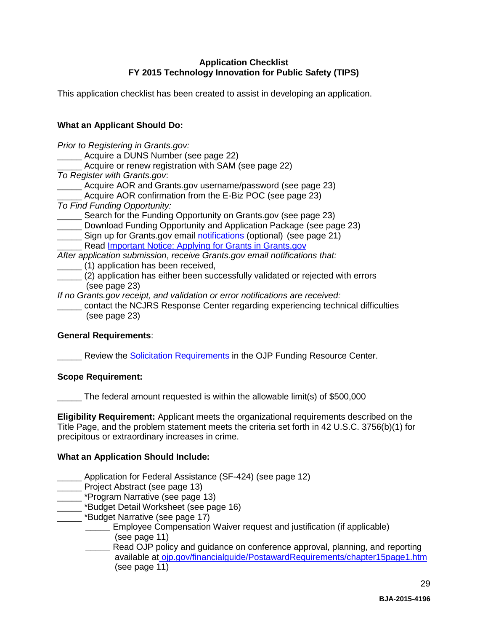## **Application Checklist FY 2015 Technology Innovation for Public Safety (TIPS)**

<span id="page-28-0"></span>This application checklist has been created to assist in developing an application.

## **What an Applicant Should Do:**

*Prior to Registering in Grants.gov:* Acquire a DUNS Number (see page 22) \_\_\_\_\_ Acquire or renew registration with SAM (see page 22) *To Register with Grants.gov*: Acquire AOR and Grants.gov username/password (see page 23) Acquire AOR confirmation from the E-Biz POC (see page 23) *To Find Funding Opportunity:* Search for the Funding Opportunity on Grants.gov (see page 23) \_\_\_\_\_ Download Funding Opportunity and Application Package (see page 23) Sign up for Grants.gov email [notifications](http://www.grants.gov/web/grants/manage-subscriptions.html) (optional) (see page 21) Read [Important Notice: Applying for Grants in Grants.gov](http://ojp.gov/funding/Apply/Grants-govInfo.htm) *After application submission*, *receive Grants.gov email notifications that:* \_\_\_\_\_ (1) application has been received, \_\_\_\_\_ (2) application has either been successfully validated or rejected with errors (see page 23) *If no Grants.gov receipt, and validation or error notifications are received:* \_\_\_\_\_ contact the NCJRS Response Center regarding experiencing technical difficulties

## **General Requirements**:

(see page 23)

Review the Solicitation [Requirements](http://ojp.gov/funding/Explore/SolicitationRequirements/index.htm) in the OJP Funding Resource Center.

#### **Scope Requirement:**

The federal amount requested is within the allowable limit(s) of \$500,000

**Eligibility Requirement:** Applicant meets the organizational requirements described on the Title Page, and the problem statement meets the criteria set forth in 42 U.S.C. 3756(b)(1) for precipitous or extraordinary increases in crime.

## **What an Application Should Include:**

- \_\_\_\_\_ Application for Federal Assistance (SF-424) (see page 12)
- \_\_\_\_\_ Project Abstract (see page 13)
- \_ \*Program Narrative (see page 13)
- \_ \*Budget Detail Worksheet (see page 16)
- \_\_\_\_\_ \*Budget Narrative (see page 17)
	- **Employee Compensation Waiver request and justification (if applicable)** (see page 11)
	- *\_\_\_\_\_* Read OJP policy and guidance on conference approval, planning, and reporting available at [ojp.gov/financialguide/PostawardRequirements/chapter15page1.htm](http://ojp.gov/financialguide/PostawardRequirements/chapter15page1.htm) (see page 11)

29